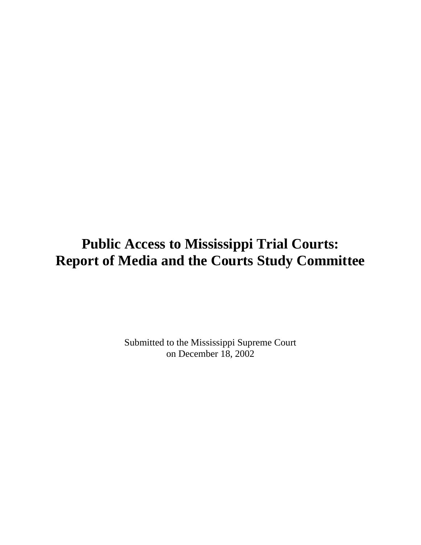# **Public Access to Mississippi Trial Courts: Report of Media and the Courts Study Committee**

Submitted to the Mississippi Supreme Court on December 18, 2002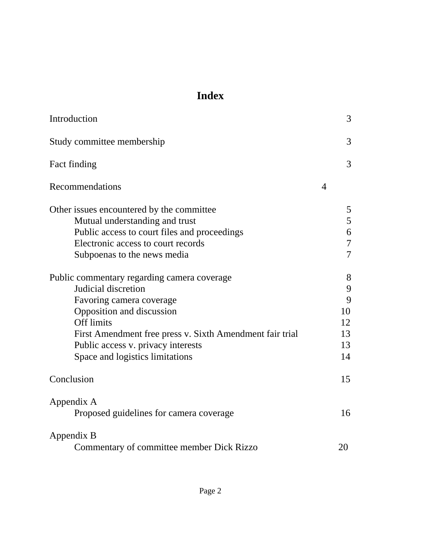## **Index**

| Introduction                                             |                | 3              |
|----------------------------------------------------------|----------------|----------------|
| Study committee membership                               |                | 3              |
| Fact finding                                             |                | 3              |
| Recommendations                                          | $\overline{4}$ |                |
| Other issues encountered by the committee                |                | 5              |
| Mutual understanding and trust                           |                | 5              |
| Public access to court files and proceedings             |                | 6              |
| Electronic access to court records                       |                | $\overline{7}$ |
| Subpoenas to the news media                              |                | $\overline{7}$ |
| Public commentary regarding camera coverage              |                | 8              |
| Judicial discretion                                      |                | 9              |
| Favoring camera coverage                                 |                | 9              |
| Opposition and discussion                                |                | 10             |
| <b>Off limits</b>                                        |                | 12             |
| First Amendment free press v. Sixth Amendment fair trial |                | 13             |
| Public access v. privacy interests                       |                | 13             |
| Space and logistics limitations                          |                | 14             |
| Conclusion                                               |                | 15             |
| Appendix A                                               |                |                |
| Proposed guidelines for camera coverage                  |                | 16             |
| Appendix B                                               |                |                |
| Commentary of committee member Dick Rizzo                |                | 20             |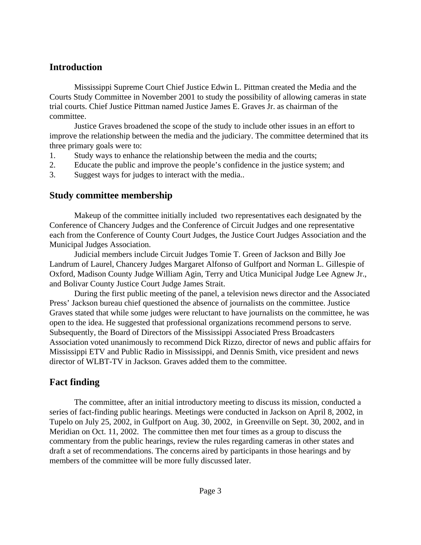### <span id="page-2-0"></span>**Introduction**

Mississippi Supreme Court Chief Justice Edwin L. Pittman created the Media and the Courts Study Committee in November 2001 to study the possibility of allowing cameras in state trial courts. Chief Justice Pittman named Justice James E. Graves Jr. as chairman of the committee.

Justice Graves broadened the scope of the study to include other issues in an effort to improve the relationship between the media and the judiciary. The committee determined that its three primary goals were to:

- 1. Study ways to enhance the relationship between the media and the courts;
- 2. Educate the public and improve the people's confidence in the justice system; and
- 3. Suggest ways for judges to interact with the media..

### **Study committee membership**

Makeup of the committee initially included two representatives each designated by the Conference of Chancery Judges and the Conference of Circuit Judges and one representative each from the Conference of County Court Judges, the Justice Court Judges Association and the Municipal Judges Association.

Judicial members include Circuit Judges Tomie T. Green of Jackson and Billy Joe Landrum of Laurel, Chancery Judges Margaret Alfonso of Gulfport and Norman L. Gillespie of Oxford, Madison County Judge William Agin, Terry and Utica Municipal Judge Lee Agnew Jr., and Bolivar County Justice Court Judge James Strait.

During the first public meeting of the panel, a television news director and the Associated Press' Jackson bureau chief questioned the absence of journalists on the committee. Justice Graves stated that while some judges were reluctant to have journalists on the committee, he was open to the idea. He suggested that professional organizations recommend persons to serve. Subsequently, the Board of Directors of the Mississippi Associated Press Broadcasters Association voted unanimously to recommend Dick Rizzo, director of news and public affairs for Mississippi ETV and Public Radio in Mississippi, and Dennis Smith, vice president and news director of WLBT-TV in Jackson. Graves added them to the committee.

### **Fact finding**

The committee, after an initial introductory meeting to discuss its mission, conducted a series of fact-finding public hearings. Meetings were conducted in Jackson on April 8, 2002, in Tupelo on July 25, 2002, in Gulfport on Aug. 30, 2002, in Greenville on Sept. 30, 2002, and in Meridian on Oct. 11, 2002. The committee then met four times as a group to discuss the commentary from the public hearings, review the rules regarding cameras in other states and draft a set of recommendations. The concerns aired by participants in those hearings and by members of the committee will be more fully discussed later.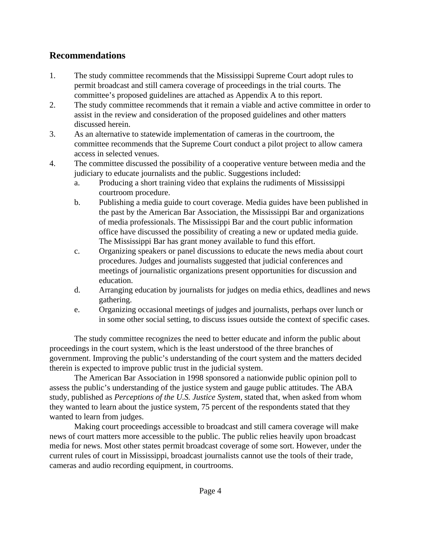### <span id="page-3-0"></span>**Recommendations**

- 1. The study committee recommends that the Mississippi Supreme Court adopt rules to permit broadcast and still camera coverage of proceedings in the trial courts. The committee's proposed guidelines are attached as Appendix A to this report.
- 2. The study committee recommends that it remain a viable and active committee in order to assist in the review and consideration of the proposed guidelines and other matters discussed herein.
- 3. As an alternative to statewide implementation of cameras in the courtroom, the committee recommends that the Supreme Court conduct a pilot project to allow camera access in selected venues.
- 4. The committee discussed the possibility of a cooperative venture between media and the judiciary to educate journalists and the public. Suggestions included:
	- a. Producing a short training video that explains the rudiments of Mississippi courtroom procedure.
	- b. Publishing a media guide to court coverage. Media guides have been published in the past by the American Bar Association, the Mississippi Bar and organizations of media professionals. The Mississippi Bar and the court public information office have discussed the possibility of creating a new or updated media guide. The Mississippi Bar has grant money available to fund this effort.
	- c. Organizing speakers or panel discussions to educate the news media about court procedures. Judges and journalists suggested that judicial conferences and meetings of journalistic organizations present opportunities for discussion and education.
	- d. Arranging education by journalists for judges on media ethics, deadlines and news gathering.
	- e. Organizing occasional meetings of judges and journalists, perhaps over lunch or in some other social setting, to discuss issues outside the context of specific cases.

The study committee recognizes the need to better educate and inform the public about proceedings in the court system, which is the least understood of the three branches of government. Improving the public's understanding of the court system and the matters decided therein is expected to improve public trust in the judicial system.

The American Bar Association in 1998 sponsored a nationwide public opinion poll to assess the public's understanding of the justice system and gauge public attitudes. The ABA study, published as *Perceptions of the U.S. Justice System*, stated that, when asked from whom they wanted to learn about the justice system, 75 percent of the respondents stated that they wanted to learn from judges.

Making court proceedings accessible to broadcast and still camera coverage will make news of court matters more accessible to the public. The public relies heavily upon broadcast media for news. Most other states permit broadcast coverage of some sort. However, under the current rules of court in Mississippi, broadcast journalists cannot use the tools of their trade, cameras and audio recording equipment, in courtrooms.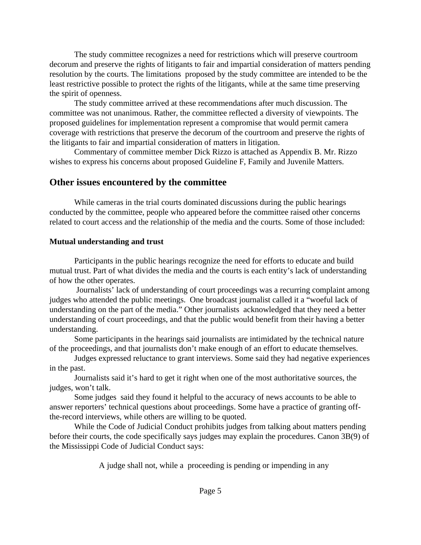<span id="page-4-0"></span>The study committee recognizes a need for restrictions which will preserve courtroom decorum and preserve the rights of litigants to fair and impartial consideration of matters pending resolution by the courts. The limitations proposed by the study committee are intended to be the least restrictive possible to protect the rights of the litigants, while at the same time preserving the spirit of openness.

The study committee arrived at these recommendations after much discussion. The committee was not unanimous. Rather, the committee reflected a diversity of viewpoints. The proposed guidelines for implementation represent a compromise that would permit camera coverage with restrictions that preserve the decorum of the courtroom and preserve the rights of the litigants to fair and impartial consideration of matters in litigation.

Commentary of committee member Dick Rizzo is attached as Appendix B. Mr. Rizzo wishes to express his concerns about proposed Guideline F, Family and Juvenile Matters.

### **Other issues encountered by the committee**

While cameras in the trial courts dominated discussions during the public hearings conducted by the committee, people who appeared before the committee raised other concerns related to court access and the relationship of the media and the courts. Some of those included:

#### **Mutual understanding and trust**

Participants in the public hearings recognize the need for efforts to educate and build mutual trust. Part of what divides the media and the courts is each entity's lack of understanding of how the other operates.

 Journalists' lack of understanding of court proceedings was a recurring complaint among judges who attended the public meetings. One broadcast journalist called it a "woeful lack of understanding on the part of the media." Other journalists acknowledged that they need a better understanding of court proceedings, and that the public would benefit from their having a better understanding.

Some participants in the hearings said journalists are intimidated by the technical nature of the proceedings, and that journalists don't make enough of an effort to educate themselves.

Judges expressed reluctance to grant interviews. Some said they had negative experiences in the past.

Journalists said it's hard to get it right when one of the most authoritative sources, the judges, won't talk.

Some judges said they found it helpful to the accuracy of news accounts to be able to answer reporters' technical questions about proceedings. Some have a practice of granting offthe-record interviews, while others are willing to be quoted.

While the Code of Judicial Conduct prohibits judges from talking about matters pending before their courts, the code specifically says judges may explain the procedures. Canon 3B(9) of the Mississippi Code of Judicial Conduct says:

A judge shall not, while a proceeding is pending or impending in any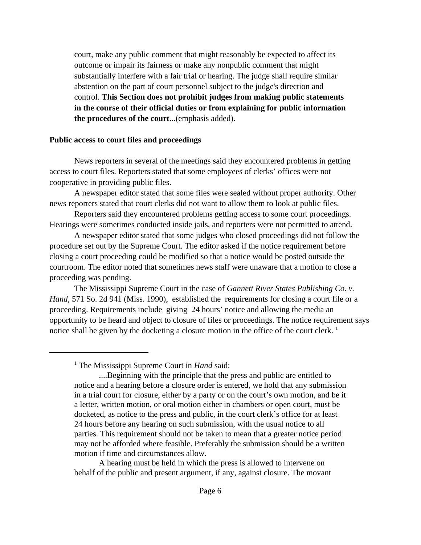<span id="page-5-0"></span>court, make any public comment that might reasonably be expected to affect its outcome or impair its fairness or make any nonpublic comment that might substantially interfere with a fair trial or hearing. The judge shall require similar abstention on the part of court personnel subject to the judge's direction and control. **This Section does not prohibit judges from making public statements in the course of their official duties or from explaining for public information the procedures of the court**...(emphasis added).

#### **Public access to court files and proceedings**

News reporters in several of the meetings said they encountered problems in getting access to court files. Reporters stated that some employees of clerks' offices were not cooperative in providing public files.

A newspaper editor stated that some files were sealed without proper authority. Other news reporters stated that court clerks did not want to allow them to look at public files.

Reporters said they encountered problems getting access to some court proceedings. Hearings were sometimes conducted inside jails, and reporters were not permitted to attend.

A newspaper editor stated that some judges who closed proceedings did not follow the procedure set out by the Supreme Court. The editor asked if the notice requirement before closing a court proceeding could be modified so that a notice would be posted outside the courtroom. The editor noted that sometimes news staff were unaware that a motion to close a proceeding was pending.

The Mississippi Supreme Court in the case of *Gannett River States Publishing Co. v. Hand*, 571 So. 2d 941 (Miss. 1990), established the requirements for closing a court file or a proceeding. Requirements include giving 24 hours' notice and allowing the media an opportunity to be heard and object to closure of files or proceedings. The notice requirement says notice shall be given by the docketing a closure motion in the office of the court clerk.<sup>1</sup>

A hearing must be held in which the press is allowed to intervene on behalf of the public and present argument, if any, against closure. The movant

<sup>&</sup>lt;sup>1</sup> The Mississippi Supreme Court in *Hand* said:

<sup>....</sup>Beginning with the principle that the press and public are entitled to notice and a hearing before a closure order is entered, we hold that any submission in a trial court for closure, either by a party or on the court's own motion, and be it a letter, written motion, or oral motion either in chambers or open court, must be docketed, as notice to the press and public, in the court clerk's office for at least 24 hours before any hearing on such submission, with the usual notice to all parties. This requirement should not be taken to mean that a greater notice period may not be afforded where feasible. Preferably the submission should be a written motion if time and circumstances allow.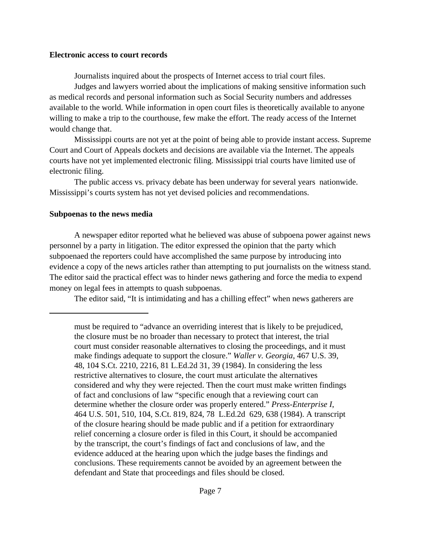#### <span id="page-6-0"></span>**Electronic access to court records**

Journalists inquired about the prospects of Internet access to trial court files.

Judges and lawyers worried about the implications of making sensitive information such as medical records and personal information such as Social Security numbers and addresses available to the world. While information in open court files is theoretically available to anyone willing to make a trip to the courthouse, few make the effort. The ready access of the Internet would change that.

Mississippi courts are not yet at the point of being able to provide instant access. Supreme Court and Court of Appeals dockets and decisions are available via the Internet. The appeals courts have not yet implemented electronic filing. Mississippi trial courts have limited use of electronic filing.

The public access vs. privacy debate has been underway for several years nationwide. Mississippi's courts system has not yet devised policies and recommendations.

#### **Subpoenas to the news media**

A newspaper editor reported what he believed was abuse of subpoena power against news personnel by a party in litigation. The editor expressed the opinion that the party which subpoenaed the reporters could have accomplished the same purpose by introducing into evidence a copy of the news articles rather than attempting to put journalists on the witness stand. The editor said the practical effect was to hinder news gathering and force the media to expend money on legal fees in attempts to quash subpoenas.

The editor said, "It is intimidating and has a chilling effect" when news gatherers are

must be required to "advance an overriding interest that is likely to be prejudiced, the closure must be no broader than necessary to protect that interest, the trial court must consider reasonable alternatives to closing the proceedings, and it must make findings adequate to support the closure." *Waller v. Georgia*, 467 U.S. 39, 48, 104 S.Ct. 2210, 2216, 81 L.Ed.2d 31, 39 (1984). In considering the less restrictive alternatives to closure, the court must articulate the alternatives considered and why they were rejected. Then the court must make written findings of fact and conclusions of law "specific enough that a reviewing court can determine whether the closure order was properly entered." *Press-Enterprise I*, 464 U.S. 501, 510, 104, S.Ct. 819, 824, 78 L.Ed.2d 629, 638 (1984). A transcript of the closure hearing should be made public and if a petition for extraordinary relief concerning a closure order is filed in this Court, it should be accompanied by the transcript, the court's findings of fact and conclusions of law, and the evidence adduced at the hearing upon which the judge bases the findings and conclusions. These requirements cannot be avoided by an agreement between the defendant and State that proceedings and files should be closed.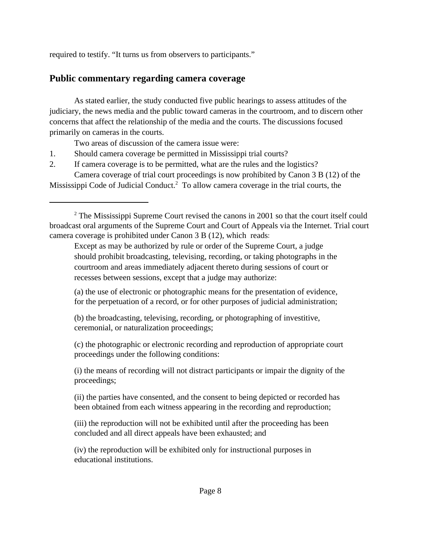<span id="page-7-0"></span>required to testify. "It turns us from observers to participants."

### **Public commentary regarding camera coverage**

As stated earlier, the study conducted five public hearings to assess attitudes of the judiciary, the news media and the public toward cameras in the courtroom, and to discern other concerns that affect the relationship of the media and the courts. The discussions focused primarily on cameras in the courts.

Two areas of discussion of the camera issue were:

- 1. Should camera coverage be permitted in Mississippi trial courts?
- 2. If camera coverage is to be permitted, what are the rules and the logistics? Camera coverage of trial court proceedings is now prohibited by Canon 3 B (12) of the

Mississippi Code of Judicial Conduct.<sup>2</sup> To allow camera coverage in the trial courts, the

Except as may be authorized by rule or order of the Supreme Court, a judge should prohibit broadcasting, televising, recording, or taking photographs in the courtroom and areas immediately adjacent thereto during sessions of court or recesses between sessions, except that a judge may authorize:

(a) the use of electronic or photographic means for the presentation of evidence, for the perpetuation of a record, or for other purposes of judicial administration;

(b) the broadcasting, televising, recording, or photographing of investitive, ceremonial, or naturalization proceedings;

(c) the photographic or electronic recording and reproduction of appropriate court proceedings under the following conditions:

(i) the means of recording will not distract participants or impair the dignity of the proceedings;

(ii) the parties have consented, and the consent to being depicted or recorded has been obtained from each witness appearing in the recording and reproduction;

(iii) the reproduction will not be exhibited until after the proceeding has been concluded and all direct appeals have been exhausted; and

(iv) the reproduction will be exhibited only for instructional purposes in educational institutions.

 $2^2$  The Mississippi Supreme Court revised the canons in 2001 so that the court itself could broadcast oral arguments of the Supreme Court and Court of Appeals via the Internet. Trial court camera coverage is prohibited under Canon 3 B (12), which reads: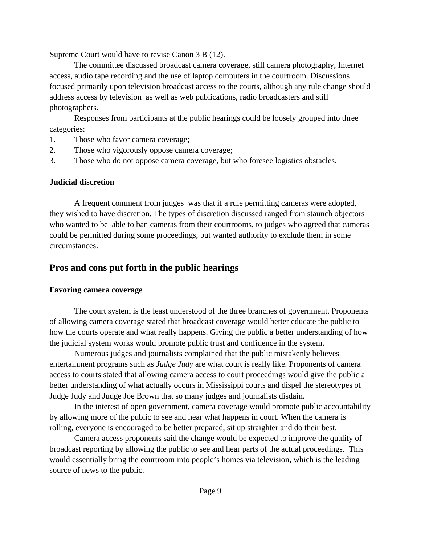<span id="page-8-0"></span>Supreme Court would have to revise Canon 3 B (12).

The committee discussed broadcast camera coverage, still camera photography, Internet access, audio tape recording and the use of laptop computers in the courtroom. Discussions focused primarily upon television broadcast access to the courts, although any rule change should address access by television as well as web publications, radio broadcasters and still photographers.

Responses from participants at the public hearings could be loosely grouped into three categories:

- 1. Those who favor camera coverage;
- 2. Those who vigorously oppose camera coverage;
- 3. Those who do not oppose camera coverage, but who foresee logistics obstacles.

#### **Judicial discretion**

A frequent comment from judges was that if a rule permitting cameras were adopted, they wished to have discretion. The types of discretion discussed ranged from staunch objectors who wanted to be able to ban cameras from their courtrooms, to judges who agreed that cameras could be permitted during some proceedings, but wanted authority to exclude them in some circumstances.

### **Pros and cons put forth in the public hearings**

### **Favoring camera coverage**

The court system is the least understood of the three branches of government. Proponents of allowing camera coverage stated that broadcast coverage would better educate the public to how the courts operate and what really happens. Giving the public a better understanding of how the judicial system works would promote public trust and confidence in the system.

Numerous judges and journalists complained that the public mistakenly believes entertainment programs such as *Judge Judy* are what court is really like. Proponents of camera access to courts stated that allowing camera access to court proceedings would give the public a better understanding of what actually occurs in Mississippi courts and dispel the stereotypes of Judge Judy and Judge Joe Brown that so many judges and journalists disdain.

In the interest of open government, camera coverage would promote public accountability by allowing more of the public to see and hear what happens in court. When the camera is rolling, everyone is encouraged to be better prepared, sit up straighter and do their best.

Camera access proponents said the change would be expected to improve the quality of broadcast reporting by allowing the public to see and hear parts of the actual proceedings. This would essentially bring the courtroom into people's homes via television, which is the leading source of news to the public.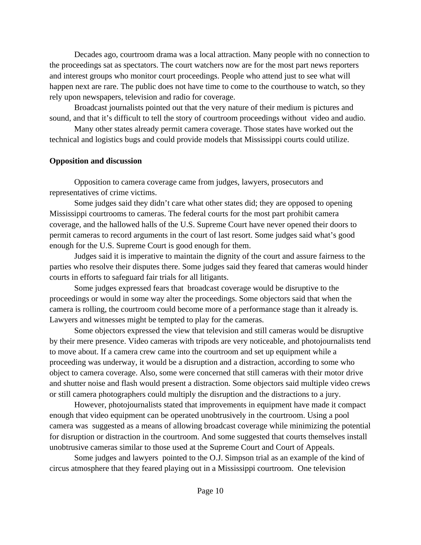<span id="page-9-0"></span>Decades ago, courtroom drama was a local attraction. Many people with no connection to the proceedings sat as spectators. The court watchers now are for the most part news reporters and interest groups who monitor court proceedings. People who attend just to see what will happen next are rare. The public does not have time to come to the courthouse to watch, so they rely upon newspapers, television and radio for coverage.

Broadcast journalists pointed out that the very nature of their medium is pictures and sound, and that it's difficult to tell the story of courtroom proceedings without video and audio.

Many other states already permit camera coverage. Those states have worked out the technical and logistics bugs and could provide models that Mississippi courts could utilize.

#### **Opposition and discussion**

Opposition to camera coverage came from judges, lawyers, prosecutors and representatives of crime victims.

Some judges said they didn't care what other states did; they are opposed to opening Mississippi courtrooms to cameras. The federal courts for the most part prohibit camera coverage, and the hallowed halls of the U.S. Supreme Court have never opened their doors to permit cameras to record arguments in the court of last resort. Some judges said what's good enough for the U.S. Supreme Court is good enough for them.

Judges said it is imperative to maintain the dignity of the court and assure fairness to the parties who resolve their disputes there. Some judges said they feared that cameras would hinder courts in efforts to safeguard fair trials for all litigants.

Some judges expressed fears that broadcast coverage would be disruptive to the proceedings or would in some way alter the proceedings. Some objectors said that when the camera is rolling, the courtroom could become more of a performance stage than it already is. Lawyers and witnesses might be tempted to play for the cameras.

Some objectors expressed the view that television and still cameras would be disruptive by their mere presence. Video cameras with tripods are very noticeable, and photojournalists tend to move about. If a camera crew came into the courtroom and set up equipment while a proceeding was underway, it would be a disruption and a distraction, according to some who object to camera coverage. Also, some were concerned that still cameras with their motor drive and shutter noise and flash would present a distraction. Some objectors said multiple video crews or still camera photographers could multiply the disruption and the distractions to a jury.

However, photojournalists stated that improvements in equipment have made it compact enough that video equipment can be operated unobtrusively in the courtroom. Using a pool camera was suggested as a means of allowing broadcast coverage while minimizing the potential for disruption or distraction in the courtroom. And some suggested that courts themselves install unobtrusive cameras similar to those used at the Supreme Court and Court of Appeals.

Some judges and lawyers pointed to the O.J. Simpson trial as an example of the kind of circus atmosphere that they feared playing out in a Mississippi courtroom. One television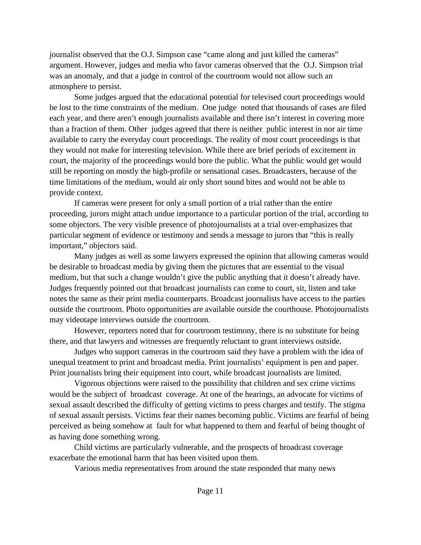journalist observed that the O.J. Simpson case "came along and just killed the cameras" argument. However, judges and media who favor cameras observed that the O.J. Simpson trial was an anomaly, and that a judge in control of the courtroom would not allow such an atmosphere to persist.

Some judges argued that the educational potential for televised court proceedings would be lost to the time constraints of the medium. One judge noted that thousands of cases are filed each year, and there aren't enough journalists available and there isn't interest in covering more than a fraction of them. Other judges agreed that there is neither public interest in nor air time available to carry the everyday court proceedings. The reality of most court proceedings is that they would not make for interesting television. While there are brief periods of excitement in court, the majority of the proceedings would bore the public. What the public would get would still be reporting on mostly the high-profile or sensational cases. Broadcasters, because of the time limitations of the medium, would air only short sound bites and would not be able to provide context.

If cameras were present for only a small portion of a trial rather than the entire proceeding, jurors might attach undue importance to a particular portion of the trial, according to some objectors. The very visible presence of photojournalists at a trial over-emphasizes that particular segment of evidence or testimony and sends a message to jurors that "this is really important," objectors said.

Many judges as well as some lawyers expressed the opinion that allowing cameras would be desirable to broadcast media by giving them the pictures that are essential to the visual medium, but that such a change wouldn't give the public anything that it doesn't already have. Judges frequently pointed out that broadcast journalists can come to court, sit, listen and take notes the same as their print media counterparts. Broadcast journalists have access to the parties outside the courtroom. Photo opportunities are available outside the courthouse. Photojournalists may videotape interviews outside the courtroom.

However, reporters noted that for courtroom testimony, there is no substitute for being there, and that lawyers and witnesses are frequently reluctant to grant interviews outside.

Judges who support cameras in the courtroom said they have a problem with the idea of unequal treatment to print and broadcast media. Print journalists' equipment is pen and paper. Print journalists bring their equipment into court, while broadcast journalists are limited.

Vigorous objections were raised to the possibility that children and sex crime victims would be the subject of broadcast coverage. At one of the hearings, an advocate for victims of sexual assault described the difficulty of getting victims to press charges and testify. The stigma of sexual assault persists. Victims fear their names becoming public. Victims are fearful of being perceived as being somehow at fault for what happened to them and fearful of being thought of as having done something wrong.

Child victims are particularly vulnerable, and the prospects of broadcast coverage exacerbate the emotional harm that has been visited upon them.

Various media representatives from around the state responded that many news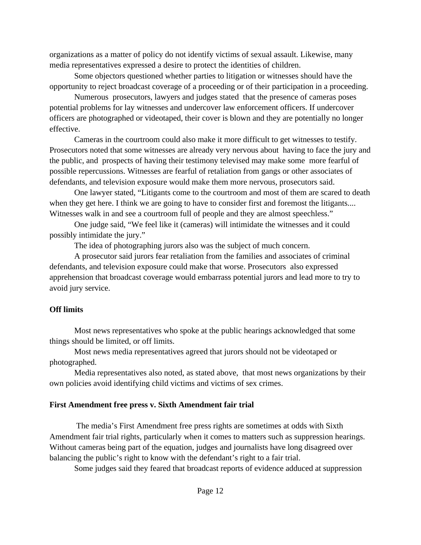<span id="page-11-0"></span>organizations as a matter of policy do not identify victims of sexual assault. Likewise, many media representatives expressed a desire to protect the identities of children.

Some objectors questioned whether parties to litigation or witnesses should have the opportunity to reject broadcast coverage of a proceeding or of their participation in a proceeding.

Numerous prosecutors, lawyers and judges stated that the presence of cameras poses potential problems for lay witnesses and undercover law enforcement officers. If undercover officers are photographed or videotaped, their cover is blown and they are potentially no longer effective.

Cameras in the courtroom could also make it more difficult to get witnesses to testify. Prosecutors noted that some witnesses are already very nervous about having to face the jury and the public, and prospects of having their testimony televised may make some more fearful of possible repercussions. Witnesses are fearful of retaliation from gangs or other associates of defendants, and television exposure would make them more nervous, prosecutors said.

One lawyer stated, "Litigants come to the courtroom and most of them are scared to death when they get here. I think we are going to have to consider first and foremost the litigants.... Witnesses walk in and see a courtroom full of people and they are almost speechless."

One judge said, "We feel like it (cameras) will intimidate the witnesses and it could possibly intimidate the jury."

The idea of photographing jurors also was the subject of much concern.

A prosecutor said jurors fear retaliation from the families and associates of criminal defendants, and television exposure could make that worse. Prosecutors also expressed apprehension that broadcast coverage would embarrass potential jurors and lead more to try to avoid jury service.

### **Off limits**

Most news representatives who spoke at the public hearings acknowledged that some things should be limited, or off limits.

Most news media representatives agreed that jurors should not be videotaped or photographed.

Media representatives also noted, as stated above, that most news organizations by their own policies avoid identifying child victims and victims of sex crimes.

### **First Amendment free press v. Sixth Amendment fair trial**

 The media's First Amendment free press rights are sometimes at odds with Sixth Amendment fair trial rights, particularly when it comes to matters such as suppression hearings. Without cameras being part of the equation, judges and journalists have long disagreed over balancing the public's right to know with the defendant's right to a fair trial.

Some judges said they feared that broadcast reports of evidence adduced at suppression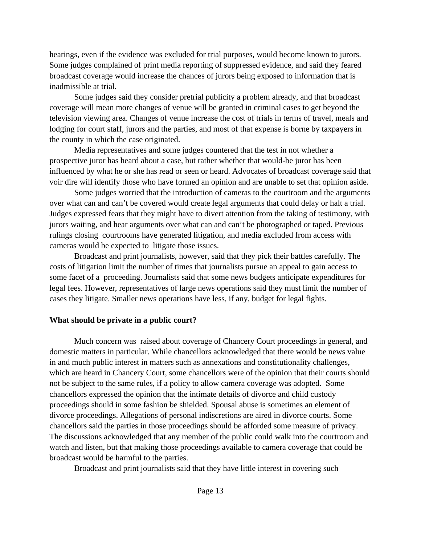<span id="page-12-0"></span>hearings, even if the evidence was excluded for trial purposes, would become known to jurors. Some judges complained of print media reporting of suppressed evidence, and said they feared broadcast coverage would increase the chances of jurors being exposed to information that is inadmissible at trial.

Some judges said they consider pretrial publicity a problem already, and that broadcast coverage will mean more changes of venue will be granted in criminal cases to get beyond the television viewing area. Changes of venue increase the cost of trials in terms of travel, meals and lodging for court staff, jurors and the parties, and most of that expense is borne by taxpayers in the county in which the case originated.

Media representatives and some judges countered that the test in not whether a prospective juror has heard about a case, but rather whether that would-be juror has been influenced by what he or she has read or seen or heard. Advocates of broadcast coverage said that voir dire will identify those who have formed an opinion and are unable to set that opinion aside.

Some judges worried that the introduction of cameras to the courtroom and the arguments over what can and can't be covered would create legal arguments that could delay or halt a trial. Judges expressed fears that they might have to divert attention from the taking of testimony, with jurors waiting, and hear arguments over what can and can't be photographed or taped. Previous rulings closing courtrooms have generated litigation, and media excluded from access with cameras would be expected to litigate those issues.

Broadcast and print journalists, however, said that they pick their battles carefully. The costs of litigation limit the number of times that journalists pursue an appeal to gain access to some facet of a proceeding. Journalists said that some news budgets anticipate expenditures for legal fees. However, representatives of large news operations said they must limit the number of cases they litigate. Smaller news operations have less, if any, budget for legal fights.

#### **What should be private in a public court?**

Much concern was raised about coverage of Chancery Court proceedings in general, and domestic matters in particular. While chancellors acknowledged that there would be news value in and much public interest in matters such as annexations and constitutionality challenges, which are heard in Chancery Court, some chancellors were of the opinion that their courts should not be subject to the same rules, if a policy to allow camera coverage was adopted. Some chancellors expressed the opinion that the intimate details of divorce and child custody proceedings should in some fashion be shielded. Spousal abuse is sometimes an element of divorce proceedings. Allegations of personal indiscretions are aired in divorce courts. Some chancellors said the parties in those proceedings should be afforded some measure of privacy. The discussions acknowledged that any member of the public could walk into the courtroom and watch and listen, but that making those proceedings available to camera coverage that could be broadcast would be harmful to the parties.

Broadcast and print journalists said that they have little interest in covering such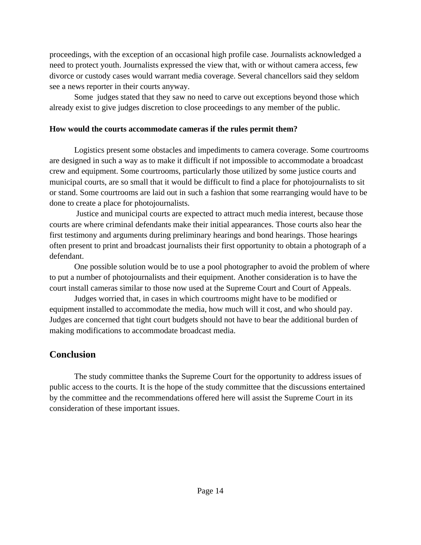<span id="page-13-0"></span>proceedings, with the exception of an occasional high profile case. Journalists acknowledged a need to protect youth. Journalists expressed the view that, with or without camera access, few divorce or custody cases would warrant media coverage. Several chancellors said they seldom see a news reporter in their courts anyway.

Some judges stated that they saw no need to carve out exceptions beyond those which already exist to give judges discretion to close proceedings to any member of the public.

#### **How would the courts accommodate cameras if the rules permit them?**

Logistics present some obstacles and impediments to camera coverage. Some courtrooms are designed in such a way as to make it difficult if not impossible to accommodate a broadcast crew and equipment. Some courtrooms, particularly those utilized by some justice courts and municipal courts, are so small that it would be difficult to find a place for photojournalists to sit or stand. Some courtrooms are laid out in such a fashion that some rearranging would have to be done to create a place for photojournalists.

 Justice and municipal courts are expected to attract much media interest, because those courts are where criminal defendants make their initial appearances. Those courts also hear the first testimony and arguments during preliminary hearings and bond hearings. Those hearings often present to print and broadcast journalists their first opportunity to obtain a photograph of a defendant.

One possible solution would be to use a pool photographer to avoid the problem of where to put a number of photojournalists and their equipment. Another consideration is to have the court install cameras similar to those now used at the Supreme Court and Court of Appeals.

Judges worried that, in cases in which courtrooms might have to be modified or equipment installed to accommodate the media, how much will it cost, and who should pay. Judges are concerned that tight court budgets should not have to bear the additional burden of making modifications to accommodate broadcast media.

### **Conclusion**

The study committee thanks the Supreme Court for the opportunity to address issues of public access to the courts. It is the hope of the study committee that the discussions entertained by the committee and the recommendations offered here will assist the Supreme Court in its consideration of these important issues.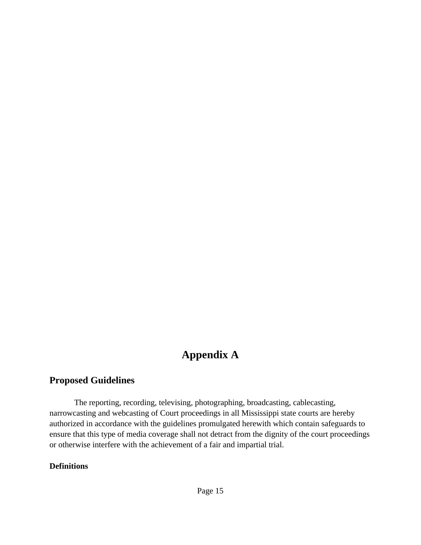## **Appendix A**

### <span id="page-14-0"></span>**Proposed Guidelines**

The reporting, recording, televising, photographing, broadcasting, cablecasting, narrowcasting and webcasting of Court proceedings in all Mississippi state courts are hereby authorized in accordance with the guidelines promulgated herewith which contain safeguards to ensure that this type of media coverage shall not detract from the dignity of the court proceedings or otherwise interfere with the achievement of a fair and impartial trial.

#### **Definitions**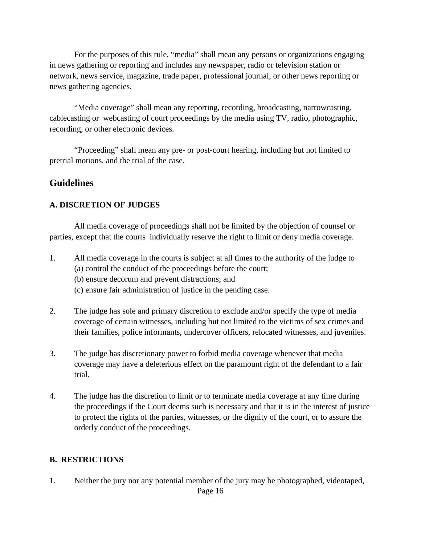<span id="page-15-0"></span>For the purposes of this rule, "media" shall mean any persons or organizations engaging in news gathering or reporting and includes any newspaper, radio or television station or network, news service, magazine, trade paper, professional journal, or other news reporting or news gathering agencies.

"Media coverage" shall mean any reporting, recording, broadcasting, narrowcasting, cablecasting or webcasting of court proceedings by the media using TV, radio, photographic, recording, or other electronic devices.

"Proceeding" shall mean any pre- or post-court hearing, including but not limited to pretrial motions, and the trial of the case.

### **Guidelines**

### **A. DISCRETION OF JUDGES**

All media coverage of proceedings shall not be limited by the objection of counsel or parties, except that the courts individually reserve the right to limit or deny media coverage.

- 1. All media coverage in the courts is subject at all times to the authority of the judge to (a) control the conduct of the proceedings before the court;
	- (b) ensure decorum and prevent distractions; and
	- (c) ensure fair administration of justice in the pending case.
- 2. The judge has sole and primary discretion to exclude and/or specify the type of media coverage of certain witnesses, including but not limited to the victims of sex crimes and their families, police informants, undercover officers, relocated witnesses, and juveniles.
- 3. The judge has discretionary power to forbid media coverage whenever that media coverage may have a deleterious effect on the paramount right of the defendant to a fair trial.
- 4. The judge has the discretion to limit or to terminate media coverage at any time during the proceedings if the Court deems such is necessary and that it is in the interest of justice to protect the rights of the parties, witnesses, or the dignity of the court, or to assure the orderly conduct of the proceedings.

### **B. RESTRICTIONS**

1. Neither the jury nor any potential member of the jury may be photographed, videotaped,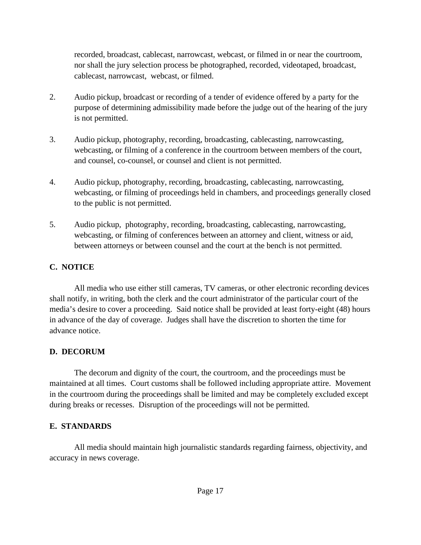recorded, broadcast, cablecast, narrowcast, webcast, or filmed in or near the courtroom, nor shall the jury selection process be photographed, recorded, videotaped, broadcast, cablecast, narrowcast, webcast, or filmed.

- 2. Audio pickup, broadcast or recording of a tender of evidence offered by a party for the purpose of determining admissibility made before the judge out of the hearing of the jury is not permitted.
- 3. Audio pickup, photography, recording, broadcasting, cablecasting, narrowcasting, webcasting, or filming of a conference in the courtroom between members of the court, and counsel, co-counsel, or counsel and client is not permitted.
- 4. Audio pickup, photography, recording, broadcasting, cablecasting, narrowcasting, webcasting, or filming of proceedings held in chambers, and proceedings generally closed to the public is not permitted.
- 5. Audio pickup, photography, recording, broadcasting, cablecasting, narrowcasting, webcasting, or filming of conferences between an attorney and client, witness or aid, between attorneys or between counsel and the court at the bench is not permitted.

### **C. NOTICE**

All media who use either still cameras, TV cameras, or other electronic recording devices shall notify, in writing, both the clerk and the court administrator of the particular court of the media's desire to cover a proceeding. Said notice shall be provided at least forty-eight (48) hours in advance of the day of coverage. Judges shall have the discretion to shorten the time for advance notice.

### **D. DECORUM**

The decorum and dignity of the court, the courtroom, and the proceedings must be maintained at all times. Court customs shall be followed including appropriate attire. Movement in the courtroom during the proceedings shall be limited and may be completely excluded except during breaks or recesses. Disruption of the proceedings will not be permitted.

### **E. STANDARDS**

All media should maintain high journalistic standards regarding fairness, objectivity, and accuracy in news coverage.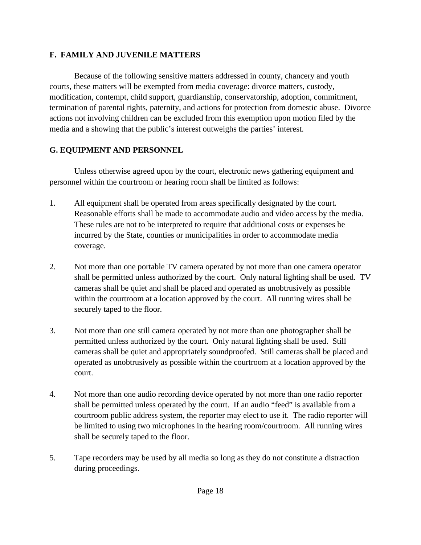### **F. FAMILY AND JUVENILE MATTERS**

Because of the following sensitive matters addressed in county, chancery and youth courts, these matters will be exempted from media coverage: divorce matters, custody, modification, contempt, child support, guardianship, conservatorship, adoption, commitment, termination of parental rights, paternity, and actions for protection from domestic abuse. Divorce actions not involving children can be excluded from this exemption upon motion filed by the media and a showing that the public's interest outweighs the parties' interest.

### **G. EQUIPMENT AND PERSONNEL**

Unless otherwise agreed upon by the court, electronic news gathering equipment and personnel within the courtroom or hearing room shall be limited as follows:

- 1. All equipment shall be operated from areas specifically designated by the court. Reasonable efforts shall be made to accommodate audio and video access by the media. These rules are not to be interpreted to require that additional costs or expenses be incurred by the State, counties or municipalities in order to accommodate media coverage.
- 2. Not more than one portable TV camera operated by not more than one camera operator shall be permitted unless authorized by the court. Only natural lighting shall be used. TV cameras shall be quiet and shall be placed and operated as unobtrusively as possible within the courtroom at a location approved by the court. All running wires shall be securely taped to the floor.
- 3. Not more than one still camera operated by not more than one photographer shall be permitted unless authorized by the court. Only natural lighting shall be used. Still cameras shall be quiet and appropriately soundproofed. Still cameras shall be placed and operated as unobtrusively as possible within the courtroom at a location approved by the court.
- 4. Not more than one audio recording device operated by not more than one radio reporter shall be permitted unless operated by the court. If an audio "feed" is available from a courtroom public address system, the reporter may elect to use it. The radio reporter will be limited to using two microphones in the hearing room/courtroom. All running wires shall be securely taped to the floor.
- 5. Tape recorders may be used by all media so long as they do not constitute a distraction during proceedings.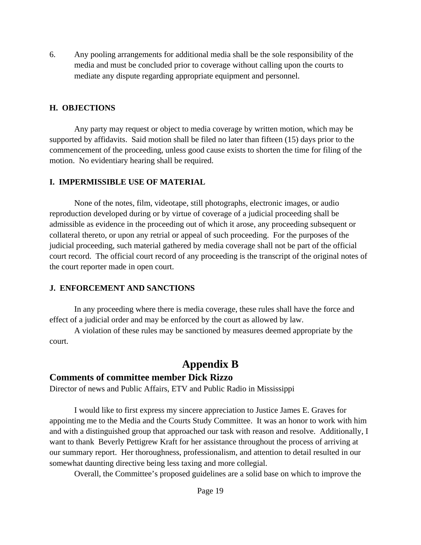6. Any pooling arrangements for additional media shall be the sole responsibility of the media and must be concluded prior to coverage without calling upon the courts to mediate any dispute regarding appropriate equipment and personnel.

#### **H. OBJECTIONS**

Any party may request or object to media coverage by written motion, which may be supported by affidavits. Said motion shall be filed no later than fifteen (15) days prior to the commencement of the proceeding, unless good cause exists to shorten the time for filing of the motion. No evidentiary hearing shall be required.

#### **I. IMPERMISSIBLE USE OF MATERIAL**

None of the notes, film, videotape, still photographs, electronic images, or audio reproduction developed during or by virtue of coverage of a judicial proceeding shall be admissible as evidence in the proceeding out of which it arose, any proceeding subsequent or collateral thereto, or upon any retrial or appeal of such proceeding. For the purposes of the judicial proceeding, such material gathered by media coverage shall not be part of the official court record. The official court record of any proceeding is the transcript of the original notes of the court reporter made in open court.

### **J. ENFORCEMENT AND SANCTIONS**

In any proceeding where there is media coverage, these rules shall have the force and effect of a judicial order and may be enforced by the court as allowed by law.

A violation of these rules may be sanctioned by measures deemed appropriate by the court.

### **Appendix B**

### **Comments of committee member Dick Rizzo**

Director of news and Public Affairs, ETV and Public Radio in Mississippi

I would like to first express my sincere appreciation to Justice James E. Graves for appointing me to the Media and the Courts Study Committee. It was an honor to work with him and with a distinguished group that approached our task with reason and resolve. Additionally, I want to thank Beverly Pettigrew Kraft for her assistance throughout the process of arriving at our summary report. Her thoroughness, professionalism, and attention to detail resulted in our somewhat daunting directive being less taxing and more collegial.

Overall, the Committee's proposed guidelines are a solid base on which to improve the